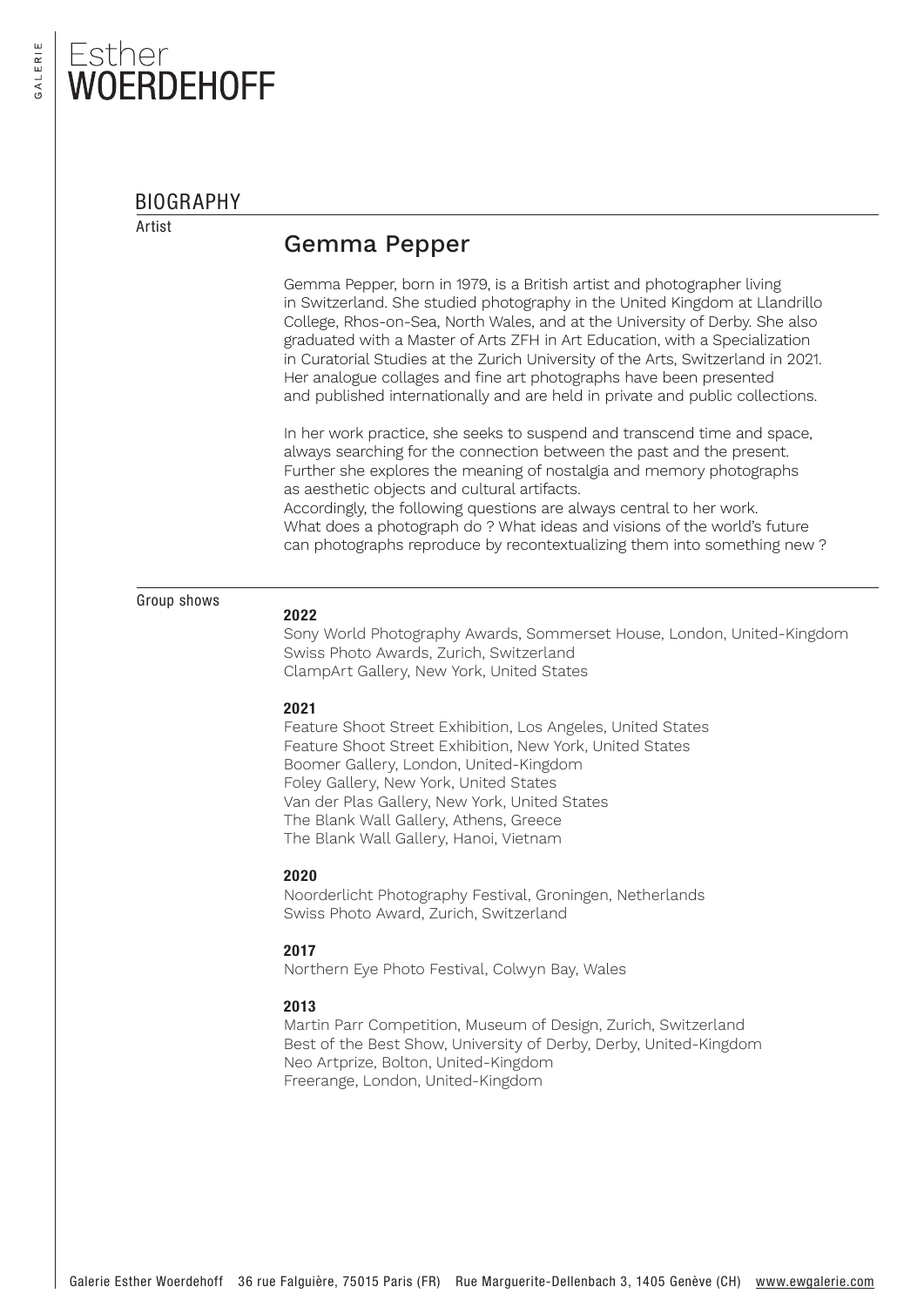## Esther **JERDEHOFF**

#### BIOGRAPHY

Artist

### Gemma Pepper

Gemma Pepper, born in 1979, is a British artist and photographer living in Switzerland. She studied photography in the United Kingdom at Llandrillo College, Rhos-on-Sea, North Wales, and at the University of Derby. She also graduated with a Master of Arts ZFH in Art Education, with a Specialization in Curatorial Studies at the Zurich University of the Arts, Switzerland in 2021. Her analogue collages and fine art photographs have been presented and published internationally and are held in private and public collections.

In her work practice, she seeks to suspend and transcend time and space, always searching for the connection between the past and the present. Further she explores the meaning of nostalgia and memory photographs as aesthetic objects and cultural artifacts.

Accordingly, the following questions are always central to her work. What does a photograph do ? What ideas and visions of the world's future can photographs reproduce by recontextualizing them into something new ?

Group shows

#### 2022

Sony World Photography Awards, Sommerset House, London, United-Kingdom Swiss Photo Awards, Zurich, Switzerland ClampArt Gallery, New York, United States

#### 2021

Feature Shoot Street Exhibition, Los Angeles, United States Feature Shoot Street Exhibition, New York, United States Boomer Gallery, London, United-Kingdom Foley Gallery, New York, United States Van der Plas Gallery, New York, United States The Blank Wall Gallery, Athens, Greece The Blank Wall Gallery, Hanoi, Vietnam

#### 2020

Noorderlicht Photography Festival, Groningen, Netherlands Swiss Photo Award, Zurich, Switzerland

#### 2017

Northern Eye Photo Festival, Colwyn Bay, Wales

#### 2013

Martin Parr Competition, Museum of Design, Zurich, Switzerland Best of the Best Show, University of Derby, Derby, United-Kingdom Neo Artprize, Bolton, United-Kingdom Freerange, London, United-Kingdom